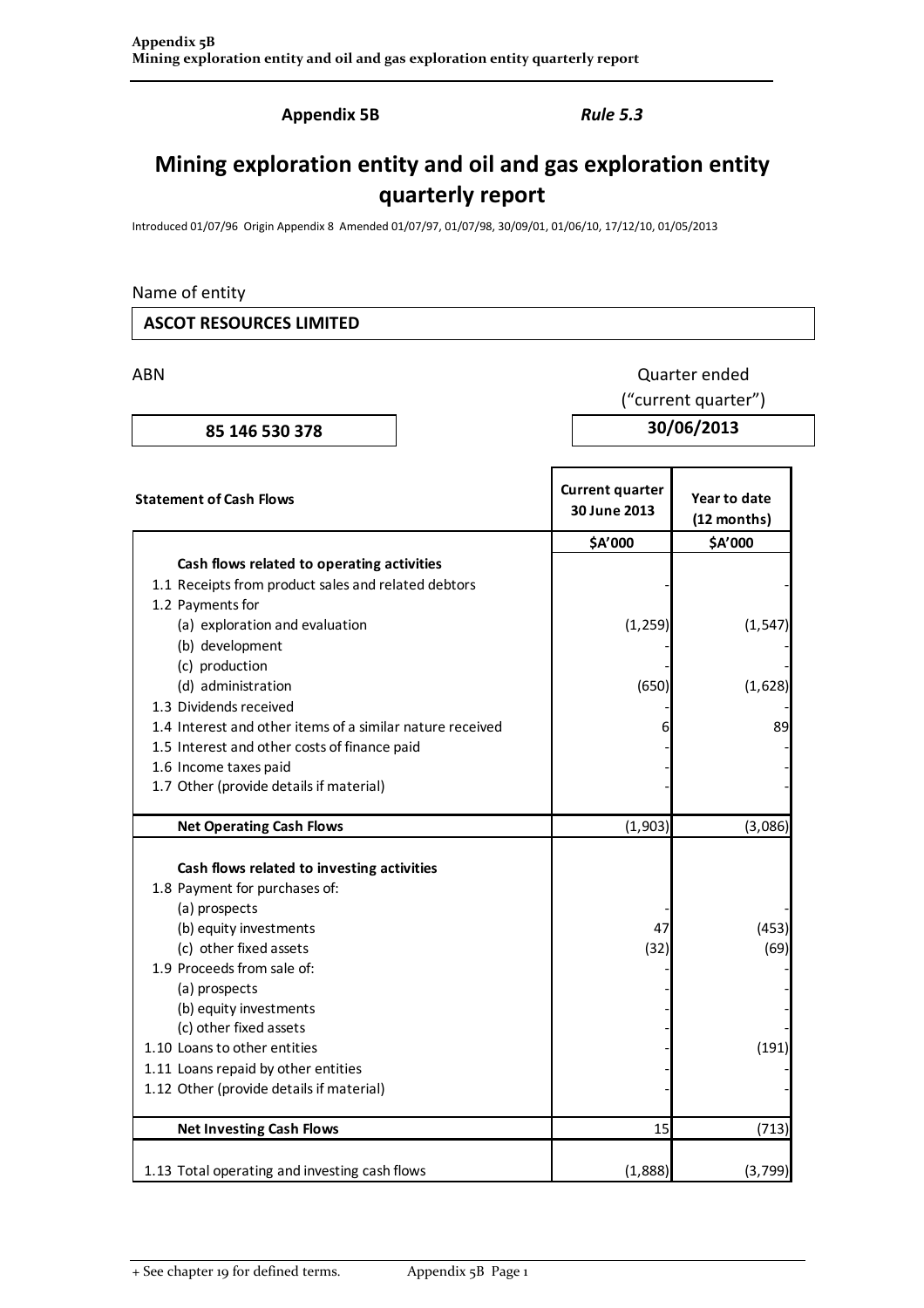Appendix 5B Rule 5.3

# Mining exploration entity and oil and gas exploration entity quarterly report

Introduced 01/07/96 Origin Appendix 8 Amended 01/07/97, 01/07/98, 30/09/01, 01/06/10, 17/12/10, 01/05/2013

# Name of entity

#### ASCOT RESOURCES LIMITED

ABN Quarter ended

("current quarter")

85 146 530 378 30/06/2013

| <b>Statement of Cash Flows</b>                            | <b>Current quarter</b><br>30 June 2013 | Year to date<br>(12 months) |  |
|-----------------------------------------------------------|----------------------------------------|-----------------------------|--|
|                                                           | \$A'000                                | \$A'000                     |  |
| Cash flows related to operating activities                |                                        |                             |  |
| 1.1 Receipts from product sales and related debtors       |                                        |                             |  |
| 1.2 Payments for                                          |                                        |                             |  |
| (a) exploration and evaluation                            | (1, 259)                               | (1, 547)                    |  |
| (b) development                                           |                                        |                             |  |
| (c) production                                            |                                        |                             |  |
| (d) administration                                        | (650)                                  | (1,628)                     |  |
| 1.3 Dividends received                                    |                                        |                             |  |
| 1.4 Interest and other items of a similar nature received |                                        | 89                          |  |
| 1.5 Interest and other costs of finance paid              |                                        |                             |  |
| 1.6 Income taxes paid                                     |                                        |                             |  |
| 1.7 Other (provide details if material)                   |                                        |                             |  |
|                                                           |                                        |                             |  |
| <b>Net Operating Cash Flows</b>                           | (1,903)                                | (3,086)                     |  |
| Cash flows related to investing activities                |                                        |                             |  |
| 1.8 Payment for purchases of:                             |                                        |                             |  |
| (a) prospects                                             |                                        |                             |  |
| (b) equity investments                                    | 47                                     | (453)                       |  |
| (c) other fixed assets                                    | (32)                                   | (69)                        |  |
| 1.9 Proceeds from sale of:                                |                                        |                             |  |
| (a) prospects                                             |                                        |                             |  |
| (b) equity investments                                    |                                        |                             |  |
| (c) other fixed assets                                    |                                        |                             |  |
| 1.10 Loans to other entities                              |                                        | (191)                       |  |
| 1.11 Loans repaid by other entities                       |                                        |                             |  |
| 1.12 Other (provide details if material)                  |                                        |                             |  |
| <b>Net Investing Cash Flows</b>                           | 15                                     | (713)                       |  |
| 1.13 Total operating and investing cash flows             | (1,888)                                | (3, 799)                    |  |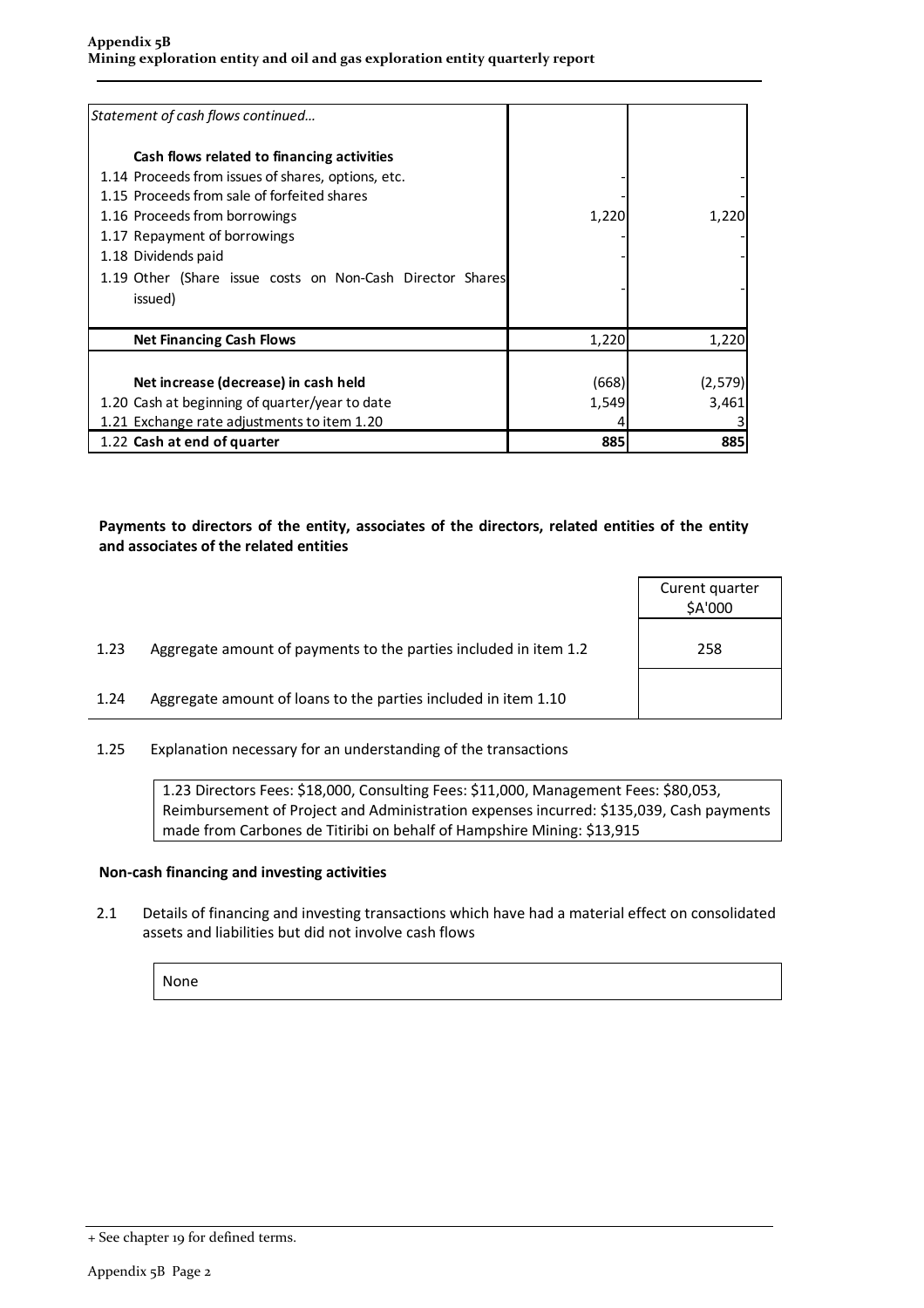| Statement of cash flows continued                                                                                                                                                                                                                                                                               |                |                  |
|-----------------------------------------------------------------------------------------------------------------------------------------------------------------------------------------------------------------------------------------------------------------------------------------------------------------|----------------|------------------|
| Cash flows related to financing activities<br>1.14 Proceeds from issues of shares, options, etc.<br>1.15 Proceeds from sale of forfeited shares<br>1.16 Proceeds from borrowings<br>1.17 Repayment of borrowings<br>1.18 Dividends paid<br>1.19 Other (Share issue costs on Non-Cash Director Shares<br>issued) | 1,220          | 1,220            |
| <b>Net Financing Cash Flows</b>                                                                                                                                                                                                                                                                                 | 1,220          | 1,220            |
| Net increase (decrease) in cash held<br>1.20 Cash at beginning of quarter/year to date<br>1.21 Exchange rate adjustments to item 1.20                                                                                                                                                                           | (668)<br>1,549 | (2,579)<br>3,461 |
| 1.22 Cash at end of quarter                                                                                                                                                                                                                                                                                     | 885            | 885              |

## Payments to directors of the entity, associates of the directors, related entities of the entity and associates of the related entities

|      |                                                                  | Curent quarter<br>\$A'000 |
|------|------------------------------------------------------------------|---------------------------|
| 1.23 | Aggregate amount of payments to the parties included in item 1.2 | 258                       |
| 1.24 | Aggregate amount of loans to the parties included in item 1.10   |                           |
|      |                                                                  |                           |

1.25 Explanation necessary for an understanding of the transactions

1.23 Directors Fees: \$18,000, Consulting Fees: \$11,000, Management Fees: \$80,053, Reimbursement of Project and Administration expenses incurred: \$135,039, Cash payments made from Carbones de Titiribi on behalf of Hampshire Mining: \$13,915

### Non-cash financing and investing activities

2.1 Details of financing and investing transactions which have had a material effect on consolidated assets and liabilities but did not involve cash flows

None

<sup>+</sup> See chapter 19 for defined terms.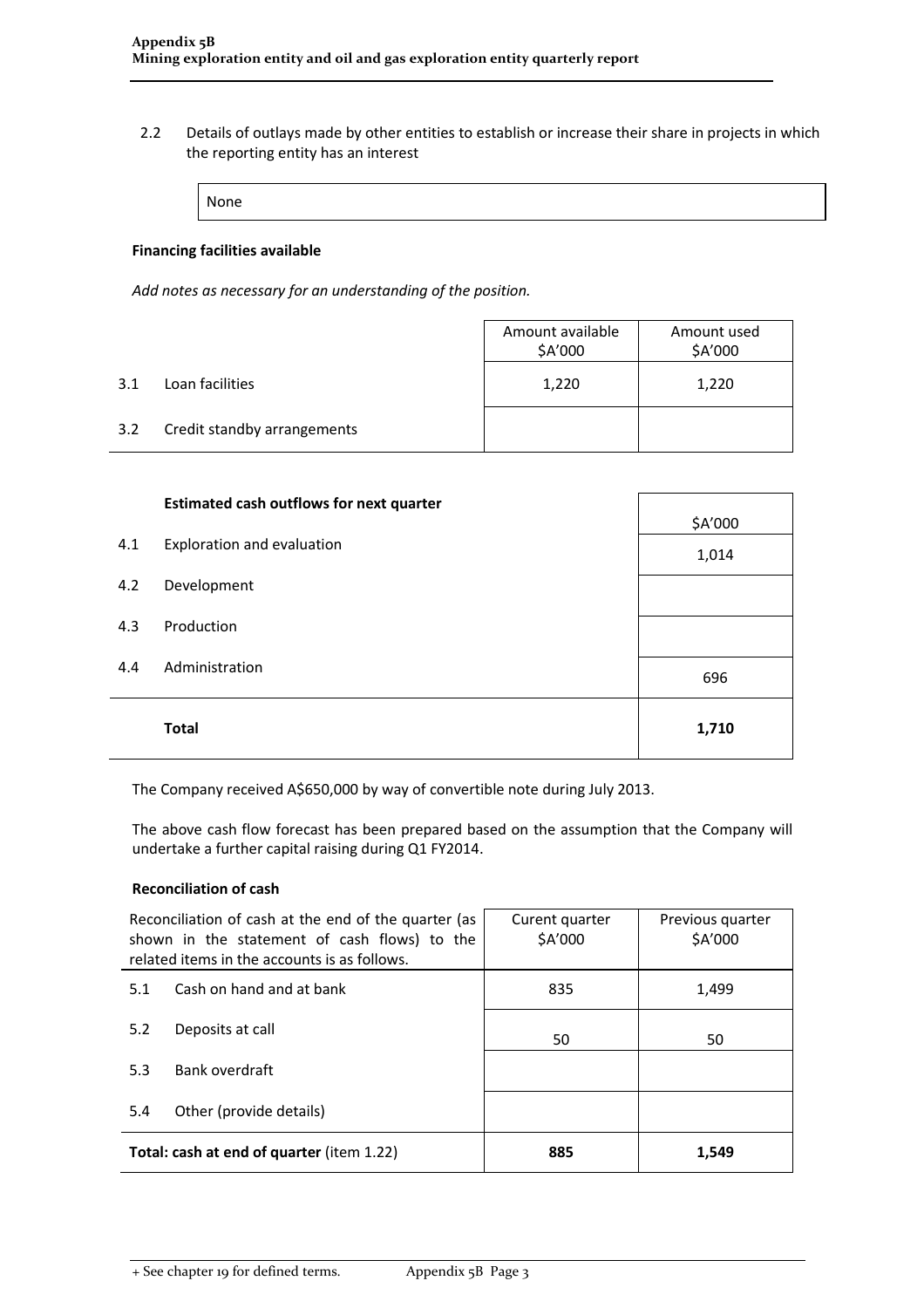2.2 Details of outlays made by other entities to establish or increase their share in projects in which the reporting entity has an interest

None

#### Financing facilities available

Add notes as necessary for an understanding of the position.

|     |                             | Amount available<br>\$A'000 | Amount used<br>\$A'000 |  |
|-----|-----------------------------|-----------------------------|------------------------|--|
| 3.1 | Loan facilities             | 1,220                       | 1,220                  |  |
| 3.2 | Credit standby arrangements |                             |                        |  |

|     | <b>Estimated cash outflows for next quarter</b> | \$A'000 |
|-----|-------------------------------------------------|---------|
| 4.1 | Exploration and evaluation                      | 1,014   |
| 4.2 | Development                                     |         |
| 4.3 | Production                                      |         |
| 4.4 | Administration                                  | 696     |
|     | <b>Total</b>                                    | 1,710   |

The Company received A\$650,000 by way of convertible note during July 2013.

The above cash flow forecast has been prepared based on the assumption that the Company will undertake a further capital raising during Q1 FY2014.

#### Reconciliation of cash

| Reconciliation of cash at the end of the quarter (as<br>shown in the statement of cash flows) to the<br>related items in the accounts is as follows. |                          | Curent quarter<br>\$A'000 | Previous quarter<br>\$A'000 |
|------------------------------------------------------------------------------------------------------------------------------------------------------|--------------------------|---------------------------|-----------------------------|
| 5.1                                                                                                                                                  | Cash on hand and at bank | 835                       | 1,499                       |
| 5.2                                                                                                                                                  | Deposits at call         | 50                        | 50                          |
| 5.3                                                                                                                                                  | Bank overdraft           |                           |                             |
| 5.4                                                                                                                                                  | Other (provide details)  |                           |                             |
| Total: cash at end of quarter (item 1.22)                                                                                                            |                          | 885                       | 1,549                       |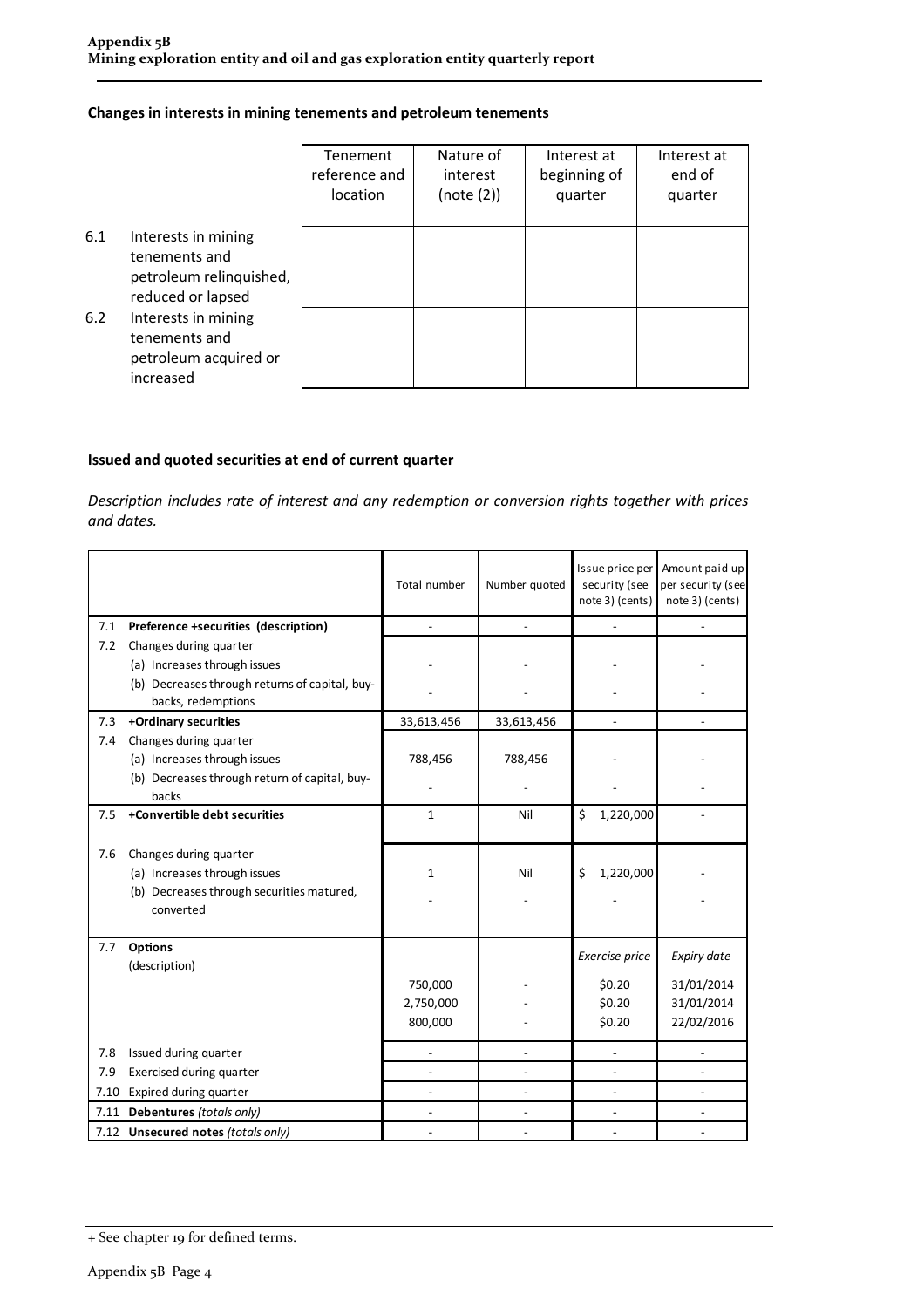#### Changes in interests in mining tenements and petroleum tenements

|     |                                                                                      | Tenement<br>reference and<br>location | Nature of<br>interest<br>(note (2)) | Interest at<br>beginning of<br>quarter | Interest at<br>end of<br>quarter |
|-----|--------------------------------------------------------------------------------------|---------------------------------------|-------------------------------------|----------------------------------------|----------------------------------|
| 6.1 | Interests in mining<br>tenements and<br>petroleum relinquished,<br>reduced or lapsed |                                       |                                     |                                        |                                  |
| 6.2 | Interests in mining<br>tenements and<br>petroleum acquired or<br>increased           |                                       |                                     |                                        |                                  |

#### Issued and quoted securities at end of current quarter

Description includes rate of interest and any redemption or conversion rights together with prices and dates.

|      |                                                                      | Total number | Number quoted | Issue price per<br>security (see<br>note 3) (cents) | Amount paid up<br>per security (see<br>note 3) (cents) |
|------|----------------------------------------------------------------------|--------------|---------------|-----------------------------------------------------|--------------------------------------------------------|
| 7.1  | Preference +securities (description)                                 |              |               |                                                     |                                                        |
| 7.2  | Changes during quarter                                               |              |               |                                                     |                                                        |
|      | (a) Increases through issues                                         |              |               |                                                     |                                                        |
|      | (b) Decreases through returns of capital, buy-<br>backs, redemptions |              |               |                                                     |                                                        |
| 7.3  | +Ordinary securities                                                 | 33,613,456   | 33,613,456    |                                                     |                                                        |
| 7.4  | Changes during quarter                                               |              |               |                                                     |                                                        |
|      | (a) Increases through issues                                         | 788,456      | 788,456       |                                                     |                                                        |
|      | (b) Decreases through return of capital, buy-<br>backs               |              |               |                                                     |                                                        |
| 7.5  | +Convertible debt securities                                         | $\mathbf{1}$ | Nil           | \$<br>1,220,000                                     |                                                        |
| 7.6  | Changes during quarter                                               |              |               |                                                     |                                                        |
|      | (a) Increases through issues                                         | $\mathbf{1}$ | Nil           | 1,220,000<br>$\zeta$                                |                                                        |
|      | (b) Decreases through securities matured,<br>converted               |              |               |                                                     |                                                        |
|      |                                                                      |              |               |                                                     |                                                        |
| 7.7  | <b>Options</b><br>(description)                                      |              |               | Exercise price                                      | Expiry date                                            |
|      |                                                                      | 750,000      |               | \$0.20                                              | 31/01/2014                                             |
|      |                                                                      | 2,750,000    |               | \$0.20                                              | 31/01/2014                                             |
|      |                                                                      | 800,000      |               | \$0.20                                              | 22/02/2016                                             |
| 7.8  | Issued during quarter                                                |              |               |                                                     |                                                        |
| 7.9  | Exercised during quarter                                             |              |               |                                                     |                                                        |
| 7.10 | Expired during quarter                                               |              |               | $\overline{a}$                                      |                                                        |
| 7.11 | Debentures (totals only)                                             |              |               |                                                     |                                                        |
|      | 7.12 Unsecured notes (totals only)                                   |              |               |                                                     |                                                        |

<sup>+</sup> See chapter 19 for defined terms.